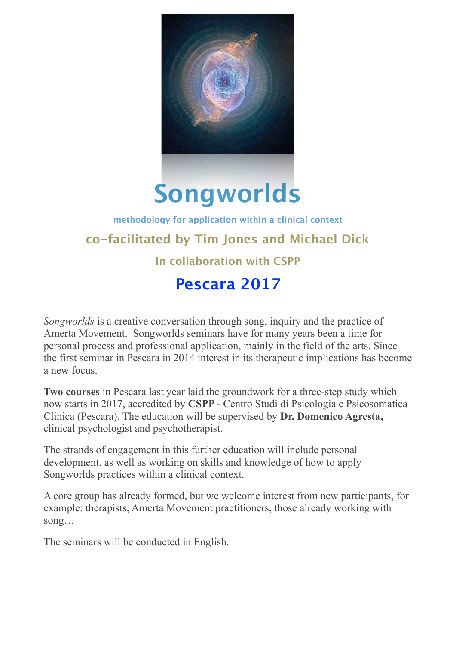

# **Songworlds**

## **methodology for application within a clinical context co-facilitated by Tim Jones and Michael Dick In collaboration with CSPP Pescara 2017**

*Songworlds* is a creative conversation through song, inquiry and the practice of Amerta Movement. Songworlds seminars have for many years been a time for personal process and professional application, mainly in the field of the arts. Since the first seminar in Pescara in 2014 interest in its therapeutic implications has become a new focus.

**Two courses** in Pescara last year laid the groundwork for a three-step study which now starts in 2017, accredited by **CSPP** - Centro Studi di Psicologia e Psicosomatica Clinica (Pescara). The education will be supervised by **Dr. Domenico Agresta,**  clinical psychologist and psychotherapist.

The strands of engagement in this further education will include personal development, as well as working on skills and knowledge of how to apply Songworlds practices within a clinical context.

A core group has already formed, but we welcome interest from new participants, for example: therapists, Amerta Movement practitioners, those already working with song…

The seminars will be conducted in English.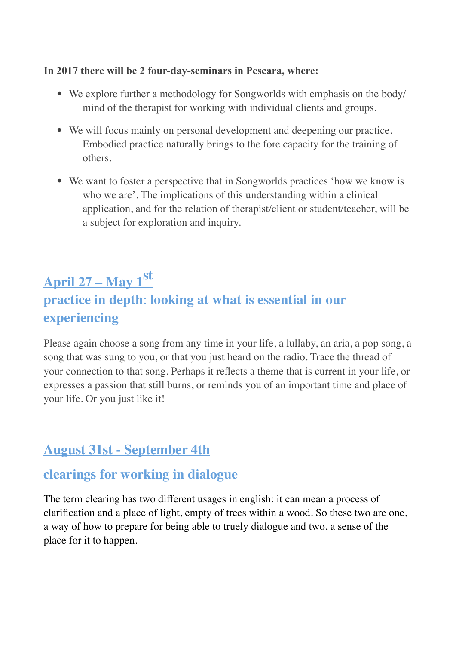#### **In 2017 there will be 2 four-day-seminars in Pescara, where:**

- We explore further a methodology for Songworlds with emphasis on the body/ mind of the therapist for working with individual clients and groups.
- We will focus mainly on personal development and deepening our practice. Embodied practice naturally brings to the fore capacity for the training of others.
- We want to foster a perspective that in Songworlds practices 'how we know is who we are'. The implications of this understanding within a clinical application, and for the relation of therapist/client or student/teacher, will be a subject for exploration and inquiry.

## **April 27 – May 1st practice in depth**: **looking at what is essential in our experiencing**

Please again choose a song from any time in your life, a lullaby, an aria, a pop song, a song that was sung to you, or that you just heard on the radio. Trace the thread of your connection to that song. Perhaps it reflects a theme that is current in your life, or expresses a passion that still burns, or reminds you of an important time and place of your life. Or you just like it!

## **August 31st - September 4th**

## **clearings for working in dialogue**

The term clearing has two different usages in english: it can mean a process of clarification and a place of light, empty of trees within a wood. So these two are one, a way of how to prepare for being able to truely dialogue and two, a sense of the place for it to happen.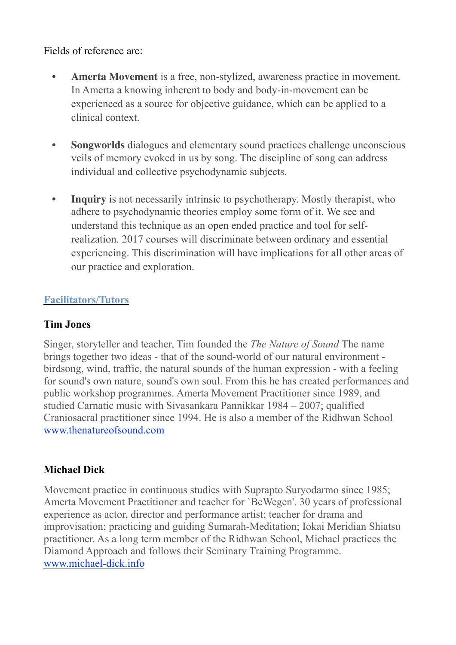#### Fields of reference are:

- **Amerta Movement** is a free, non-stylized, awareness practice in movement. In Amerta a knowing inherent to body and body-in-movement can be experienced as a source for objective guidance, which can be applied to a clinical context.
- **Songworlds** dialogues and elementary sound practices challenge unconscious veils of memory evoked in us by song. The discipline of song can address individual and collective psychodynamic subjects.
- **Inquiry** is not necessarily intrinsic to psychotherapy. Mostly therapist, who adhere to psychodynamic theories employ some form of it. We see and understand this technique as an open ended practice and tool for selfrealization. 2017 courses will discriminate between ordinary and essential experiencing. This discrimination will have implications for all other areas of our practice and exploration.

### **Facilitators/Tutors**

### **Tim Jones**

Singer, storyteller and teacher, Tim founded the *The Nature of Sound* The name brings together two ideas - that of the sound-world of our natural environment birdsong, wind, traffic, the natural sounds of the human expression - with a feeling for sound's own nature, sound's own soul. From this he has created performances and public workshop programmes. Amerta Movement Practitioner since 1989, and studied Carnatic music with Sivasankara Pannikkar 1984 – 2007; qualified Craniosacral practitioner since 1994. He is also a member of the Ridhwan School [www.thenatureofsound.com](http://www.thenatureofsound.com)

## **Michael Dick**

Movement practice in continuous studies with Suprapto Suryodarmo since 1985; Amerta Movement Practitioner and teacher for `BeWegen'. 30 years of professional experience as actor, director and performance artist; teacher for drama and improvisation; practicing and guiding Sumarah-Meditation; Iokai Meridian Shiatsu practitioner. As a long term member of the Ridhwan School, Michael practices the Diamond Approach and follows their Seminary Training Programme. [www.michael-dick.info](http://www.michael-dick.info)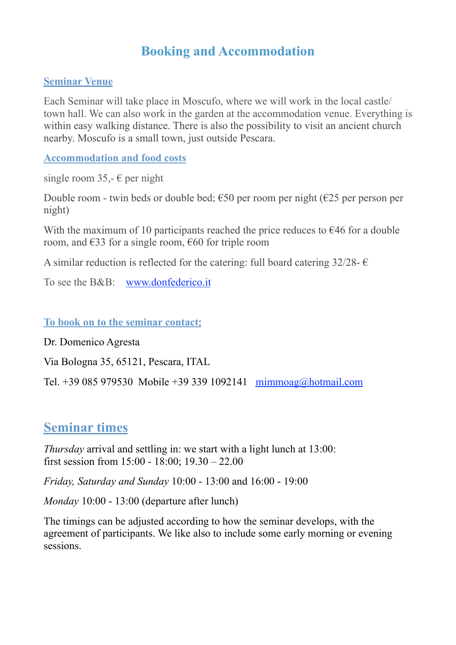## **Booking and Accommodation**

#### **Seminar Venue**

Each Seminar will take place in Moscufo, where we will work in the local castle/ town hall. We can also work in the garden at the accommodation venue. Everything is within easy walking distance. There is also the possibility to visit an ancient church nearby. Moscufo is a small town, just outside Pescara.

**Accommodation and food costs** 

single room 35,-  $\epsilon$  per night

Double room - twin beds or double bed;  $€50$  per room per night ( $€25$  per person per night)

With the maximum of 10 participants reached the price reduces to  $\epsilon$ 46 for a double room, and  $\epsilon$ 33 for a single room,  $\epsilon$ 60 for triple room

A similar reduction is reflected for the catering: full board catering 32/28-  $\epsilon$ 

To see the B&B: [www.donfederico.it](http://www.donfederico.it)

#### **To book on to the seminar contact**:

Dr. Domenico Agresta

Via Bologna 35, 65121, Pescara, ITAL

Tel. +39 085 979530 Mobile +39 339 1092141 [mimmoag@hotmail.com](mailto:mimmoag@hotmail.com)

## **Seminar times**

*Thursday* arrival and settling in: we start with a light lunch at 13:00: first session from 15:00 - 18:00; 19.30 – 22.00

*Friday, Saturday and Sunday* 10:00 - 13:00 and 16:00 - 19:00

*Monday* 10:00 - 13:00 (departure after lunch)

The timings can be adjusted according to how the seminar develops, with the agreement of participants. We like also to include some early morning or evening sessions.